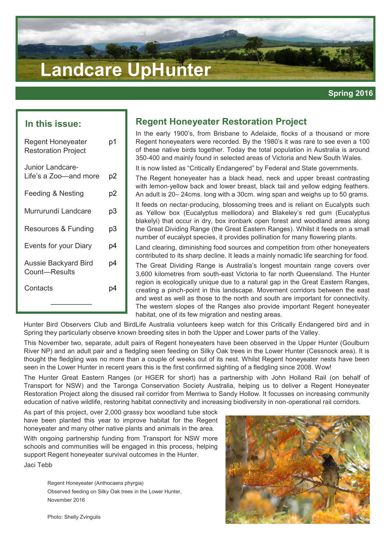# **Landcare UpHunter**

## **In this issue:**

| <b>Regent Honeyeater</b><br><b>Restoration Project</b> | p1 |
|--------------------------------------------------------|----|
| Junior Landcare-<br>Life's a Zoo—and more              | p2 |
| <b>Feeding &amp; Nesting</b>                           | p2 |
| Murrurundi Landcare                                    | pЗ |
| Resources & Funding                                    | pЗ |
| Events for your Diary                                  | p4 |
| <b>Aussie Backyard Bird</b><br>Count—Results           | p4 |
| Contacts                                               | p4 |
|                                                        |    |

# **Regent Honeyeater Restoration Project**

In the early 1900's, from Brisbane to Adelaide, flocks of a thousand or more Regent honeyeaters were recorded. By the 1980's it was rare to see even a 100 of these native birds together. Today the total population in Australia is around 350-400 and mainly found in selected areas of Victoria and New South Wales.

It is now listed as "Critically Endangered" by Federal and State governments.

The Regent honeyeater has a black head, neck and upper breast contrasting with lemon-yellow back and lower breast, black tail and yellow edging feathers. An adult is 20– 24cms. long with a 30cm. wing span and weighs up to 50 grams.

It feeds on nectar-producing, blossoming trees and is reliant on Eucalypts such as Yellow box (Eucalyptus melliodora) and Blakeley's red gum (Eucalyptus blakelyi) that occur in dry, box ironbark open forest and woodland areas along the Great Dividing Range (the Great Eastern Ranges). Whilst it feeds on a small number of eucalypt species, it provides pollination for many flowering plants.

Land clearing, diminishing food sources and competition from other honeyeaters contributed to its sharp decline. It leads a mainly nomadic life searching for food.

The Great Dividing Range is Australia's longest mountain range covers over 3,600 kilometres from south-east Victoria to far north Queensland. The Hunter region is ecologically unique due to a natural gap in the Great Eastern Ranges, creating a pinch-point in this landscape. Movement corridors between the east and west as well as those to the north and south are important for connectivity. The western slopes of the Ranges also provide important Regent honeyeater habitat, one of its few migration and nesting areas.

Hunter Bird Observers Club and BirdLife Australia volunteers keep watch for this Critically Endangered bird and in Spring they particularly observe known breeding sites in both the Upper and Lower parts of the Valley.

This November two, separate, adult pairs of Regent honeyeaters have been observed in the Upper Hunter (Goulburn River NP) and an adult pair and a fledgling seen feeding on Silky Oak trees in the Lower Hunter (Cessnock area). It is thought the fledgling was no more than a couple of weeks out of its nest. Whilst Regent honeyeater nests have been seen in the Lower Hunter in recent years this is the first confirmed sighting of a fledgling since 2008. Wow!

The Hunter Great Eastern Ranges (or HGER for short) has a partnership with John Holland Rail (on behalf of Transport for NSW) and the Taronga Conservation Society Australia, helping us to deliver a Regent Honeyeater Restoration Project along the disused rail corridor from Merriwa to Sandy Hollow. It focusses on increasing community education of native wildlife, restoring habitat connectivity and increasing biodiversity in non-operational rail corridors.

As part of this project, over 2,000 grassy box woodland tube stock have been planted this year to improve habitat for the Regent honeyeater and many other native plants and animals in the area.

With ongoing partnership funding from Transport for NSW more schools and communities will be engaged in this process, helping support Regent honeyeater survival outcomes in the Hunter.

Jaci Tebb

Regent Honeyeater (Anthocaera phyrgia) Observed feeding on Silky Oak trees in the Lower Hunter, November 2016



Photo: Shelly Zvingulis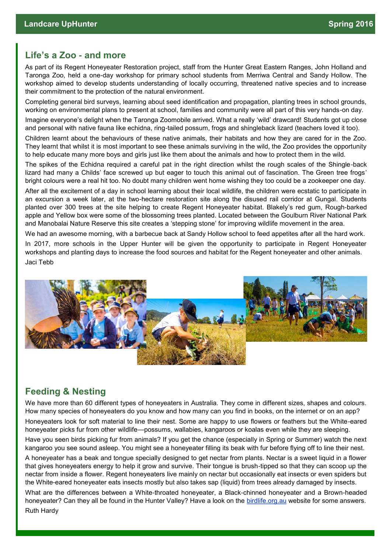# **Life's a Zoo - and more**

As part of its Regent Honeyeater Restoration project, staff from the Hunter Great Eastern Ranges, John Holland and Taronga Zoo, held a one-day workshop for primary school students from Merriwa Central and Sandy Hollow. The workshop aimed to develop students understanding of locally occurring, threatened native species and to increase their commitment to the protection of the natural environment.

Completing general bird surveys, learning about seed identification and propagation, planting trees in school grounds, working on environmental plans to present at school, families and community were all part of this very hands-on day.

Imagine everyone's delight when the Taronga Zoomobile arrived. What a really 'wild' drawcard! Students got up close and personal with native fauna like echidna, ring-tailed possum, frogs and shingleback lizard (teachers loved it too).

Children learnt about the behaviours of these native animals, their habitats and how they are cared for in the Zoo. They learnt that whilst it is most important to see these animals surviving in the wild, the Zoo provides the opportunity to help educate many more boys and girls just like them about the animals and how to protect them in the wild.

The spikes of the Echidna required a careful pat in the right direction whilst the rough scales of the Shingle-back lizard had many a Childs' face screwed up but eager to touch this animal out of fascination. The Green tree frogs' bright colours were a real hit too. No doubt many children went home wishing they too could be a zookeeper one day.

After all the excitement of a day in school learning about their local wildlife, the children were ecstatic to participate in an excursion a week later, at the two-hectare restoration site along the disused rail corridor at Gungal. Students planted over 300 trees at the site helping to create Regent Honeyeater habitat. Blakely's red gum, Rough-barked apple and Yellow box were some of the blossoming trees planted. Located between the Goulburn River National Park and Manobalai Nature Reserve this site creates a 'stepping stone' for improving wildlife movement in the area.

We had an awesome morning, with a barbecue back at Sandy Hollow school to feed appetites after all the hard work.

In 2017, more schools in the Upper Hunter will be given the opportunity to participate in Regent Honeyeater workshops and planting days to increase the food sources and habitat for the Regent honeyeater and other animals. Jaci Tebb



# **Feeding & Nesting**

We have more than 60 different types of honeyeaters in Australia. They come in different sizes, shapes and colours. How many species of honeyeaters do you know and how many can you find in books, on the internet or on an app?

Honeyeaters look for soft material to line their nest. Some are happy to use flowers or feathers but the White-eared honeyeater picks fur from other wildlife—possums, wallabies, kangaroos or koalas even while they are sleeping.

Have you seen birds picking fur from animals? If you get the chance (especially in Spring or Summer) watch the next kangaroo you see sound asleep. You might see a honeyeater filling its beak with fur before flying off to line their nest.

A honeyeater has a beak and tongue specially designed to get nectar from plants. Nectar is a sweet liquid in a flower that gives honeyeaters energy to help it grow and survive. Their tongue is brush-tipped so that they can scoop up the nectar from inside a flower. Regent honeyeaters live mainly on nectar but occasionally eat insects or even spiders but the White-eared honeyeater eats insects mostly but also takes sap (liquid) from trees already damaged by insects.

What are the differences between a White-throated honeyeater, a Black-chinned honeyeater and a Brown-headed honeyeater? Can they all be found in the Hunter Valley? Have a look on the [birdlife.org.au](http://birdlife.org.au/) website for some answers.

Ruth Hardy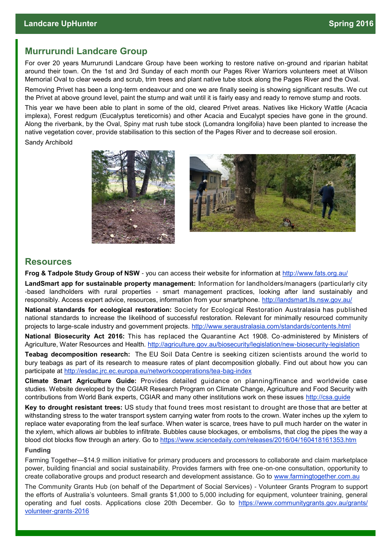# **Murrurundi Landcare Group**

For over 20 years Murrurundi Landcare Group have been working to restore native on-ground and riparian habitat around their town. On the 1st and 3rd Sunday of each month our Pages River Warriors volunteers meet at Wilson Memorial Oval to clear weeds and scrub, trim trees and plant native tube stock along the Pages River and the Oval.

Removing Privet has been a long-term endeavour and one we are finally seeing is showing significant results. We cut the Privet at above ground level, paint the stump and wait until it is fairly easy and ready to remove stump and roots.

This year we have been able to plant in some of the old, cleared Privet areas. Natives like Hickory Wattle (Acacia implexa), Forest redgum (Eucalyptus tereticornis) and other Acacia and Eucalypt species have gone in the ground. Along the riverbank, by the Oval, Spiny mat rush tube stock (Lomandra longifolia) have been planted to increase the native vegetation cover, provide stabilisation to this section of the Pages River and to decrease soil erosion.

Sandy Archibold





## **Resources**

**Frog & Tadpole Study Group of NSW** - you can access their website for information at<http://www.fats.org.au/>

**LandSmart app for sustainable property management:** Information for landholders/managers (particularly city -based landholders with rural properties - smart management practices, looking after land sustainably and responsibly. Access expert advice, resources, information from your smartphone. <http://landsmart.lls.nsw.gov.au/>

**National standards for ecological restoration:** Society for Ecological Restoration Australasia has published national standards to increase the likelihood of successful restoration. Relevant for minimally resourced community projects to large-scale industry and government projects. <http://www.seraustralasia.com/standards/contents.html>

**National Biosecurity Act 2016:** This has replaced the Quarantine Act 1908. Co-administered by Ministers of Agriculture, Water Resources and Health. [http://agriculture.gov.au/biosecurity/legislation/new](http://agriculture.gov.au/biosecurity/legislation/new-biosecurity-legislation)-biosecurity-legislation

**Teabag decomposition research:** The EU Soil Data Centre is seeking citizen scientists around the world to bury teabags as part of its research to measure rates of plant decomposition globally. Find out about how you can participate at [http://esdac.jrc.ec.europa.eu/networkcooperations/tea](http://esdac.jrc.ec.europa.eu/networkcooperations/tea-bag-index)-bag-index

**Climate Smart Agriculture Guide:** Provides detailed guidance on planning/finance and worldwide case studies. Website developed by the CGIAR Research Program on Climate Change, Agriculture and Food Security with contributions from World Bank experts, CGIAR and many other institutions work on these issues [http://csa.guide](http://cgiar.us2.list-manage.com/track/click?u=08ae10c64755d59976763ea1f&id=dcede87471&e=fb041e20d0)

**Key to drought resistant trees:** US study that found trees most resistant to drought are those that are better at withstanding stress to the water transport system carrying water from roots to the crown. Water inches up the xylem to replace water evaporating from the leaf surface. When water is scarce, trees have to pull much harder on the water in the xylem, which allows air bubbles to infiltrate. Bubbles cause blockages, or embolisms, that clog the pipes the way a blood clot blocks flow through an artery. Go to <https://www.sciencedaily.com/releases/2016/04/160418161353.htm>

### **Funding**

Farming Together—\$14.9 million initiative for primary producers and processors to collaborate and claim marketplace power, building financial and social sustainability. Provides farmers with free one-on-one consultation, opportunity to create collaborative groups and product research and development assistance. Go to [www.farmingtogether.com.au](https://farmingtogether.com.au/)

The Community Grants Hub (on behalf of the Department of Social Services) - Volunteer Grants Program to support the efforts of Australia's volunteers. Small grants \$1,000 to 5,000 including for equipment, volunteer training, general operating and fuel costs. Applications close 20th December. Go to [https://www.communitygrants.gov.au/grants/](https://www.communitygrants.gov.au/grants/volunteer-grants-2016) [volunteer](https://www.communitygrants.gov.au/grants/volunteer-grants-2016)-grants-2016